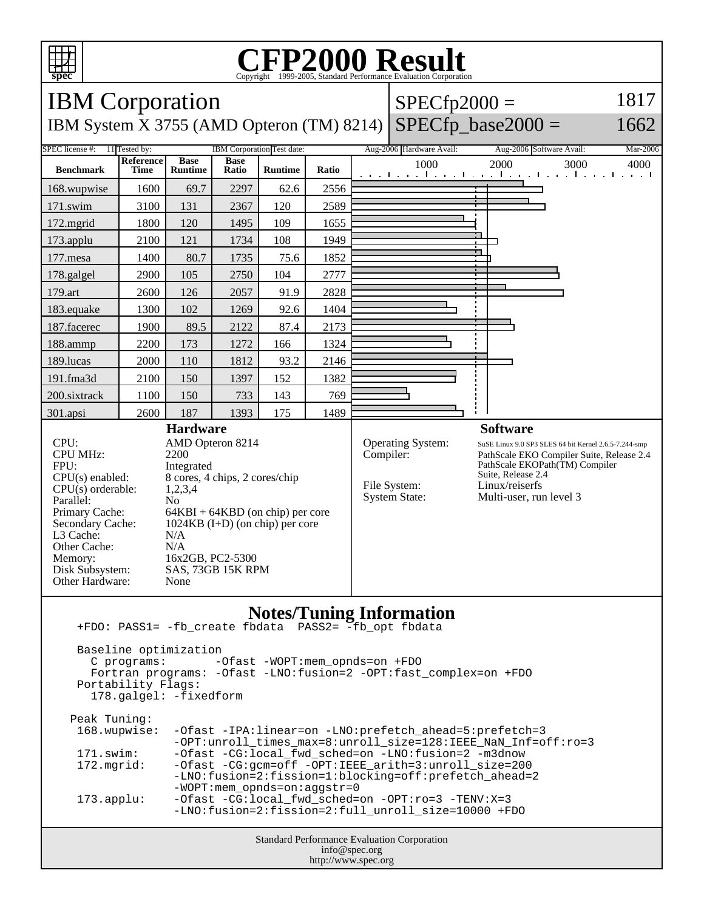

## C<sub>opyright</sub> ©1999-2005, Standard Performance Evaluation Corporation

| <b>IBM</b> Corporation<br>$SPECfp2000 =$                                                                                                                                                                                                                                                                                                                                                                                                                                           |                          |                               |                      |                |       |           |                                                           |                                                                                                                                                                                                                            | 1817 |
|------------------------------------------------------------------------------------------------------------------------------------------------------------------------------------------------------------------------------------------------------------------------------------------------------------------------------------------------------------------------------------------------------------------------------------------------------------------------------------|--------------------------|-------------------------------|----------------------|----------------|-------|-----------|-----------------------------------------------------------|----------------------------------------------------------------------------------------------------------------------------------------------------------------------------------------------------------------------------|------|
| $SPECfp\_base2000 =$<br>1662<br>IBM System X 3755 (AMD Opteron (TM) 8214)                                                                                                                                                                                                                                                                                                                                                                                                          |                          |                               |                      |                |       |           |                                                           |                                                                                                                                                                                                                            |      |
| SPEC license #:<br>11 Tested by:<br>IBM Corporation Test date:<br>Aug-2006 Hardware Avail:<br>Aug-2006 Software Avail:<br>Mar-2006                                                                                                                                                                                                                                                                                                                                                 |                          |                               |                      |                |       |           |                                                           |                                                                                                                                                                                                                            |      |
| <b>Benchmark</b>                                                                                                                                                                                                                                                                                                                                                                                                                                                                   | <b>Reference</b><br>Time | <b>Base</b><br><b>Runtime</b> | <b>Base</b><br>Ratio | <b>Runtime</b> | Ratio |           | 1000                                                      | 2000<br>3000<br>and the angle the anti-server the angle the angle the angle the server                                                                                                                                     | 4000 |
| 168.wupwise                                                                                                                                                                                                                                                                                                                                                                                                                                                                        | 1600                     | 69.7                          | 2297                 | 62.6           | 2556  |           |                                                           |                                                                                                                                                                                                                            |      |
| 171.swim                                                                                                                                                                                                                                                                                                                                                                                                                                                                           | 3100                     | 131                           | 2367                 | 120            | 2589  |           |                                                           |                                                                                                                                                                                                                            |      |
| 172.mgrid                                                                                                                                                                                                                                                                                                                                                                                                                                                                          | 1800                     | 120                           | 1495                 | 109            | 1655  |           |                                                           |                                                                                                                                                                                                                            |      |
| 173.applu                                                                                                                                                                                                                                                                                                                                                                                                                                                                          | 2100                     | 121                           | 1734                 | 108            | 1949  |           |                                                           |                                                                                                                                                                                                                            |      |
| 177.mesa                                                                                                                                                                                                                                                                                                                                                                                                                                                                           | 1400                     | 80.7                          | 1735                 | 75.6           | 1852  |           |                                                           |                                                                                                                                                                                                                            |      |
| 178.galgel                                                                                                                                                                                                                                                                                                                                                                                                                                                                         | 2900                     | 105                           | 2750                 | 104            | 2777  |           |                                                           |                                                                                                                                                                                                                            |      |
| 179.art                                                                                                                                                                                                                                                                                                                                                                                                                                                                            | 2600                     | 126                           | 2057                 | 91.9           | 2828  |           |                                                           |                                                                                                                                                                                                                            |      |
| 183.equake                                                                                                                                                                                                                                                                                                                                                                                                                                                                         | 1300                     | 102                           | 1269                 | 92.6           | 1404  |           |                                                           |                                                                                                                                                                                                                            |      |
| 187.facerec                                                                                                                                                                                                                                                                                                                                                                                                                                                                        | 1900                     | 89.5                          | 2122                 | 87.4           | 2173  |           |                                                           |                                                                                                                                                                                                                            |      |
| 188.ammp                                                                                                                                                                                                                                                                                                                                                                                                                                                                           | 2200                     | 173                           | 1272                 | 166            | 1324  |           |                                                           |                                                                                                                                                                                                                            |      |
| 189.lucas                                                                                                                                                                                                                                                                                                                                                                                                                                                                          | 2000                     | 110                           | 1812                 | 93.2           | 2146  |           |                                                           |                                                                                                                                                                                                                            |      |
| 191.fma3d                                                                                                                                                                                                                                                                                                                                                                                                                                                                          | 2100                     | 150                           | 1397                 | 152            | 1382  |           |                                                           |                                                                                                                                                                                                                            |      |
| 200.sixtrack                                                                                                                                                                                                                                                                                                                                                                                                                                                                       | 1100                     | 150                           | 733                  | 143            | 769   |           |                                                           |                                                                                                                                                                                                                            |      |
| 301.apsi                                                                                                                                                                                                                                                                                                                                                                                                                                                                           | 2600                     | 187                           | 1393                 | 175            | 1489  |           |                                                           |                                                                                                                                                                                                                            |      |
| <b>Hardware</b><br>CPU:<br>AMD Opteron 8214<br><b>CPU MHz:</b><br>2200<br>FPU:<br>Integrated<br>$CPU(s)$ enabled:<br>8 cores, 4 chips, 2 cores/chip<br>$CPU(s)$ orderable:<br>1,2,3,4<br>Parallel:<br>N <sub>0</sub><br>Primary Cache:<br>$64KBI + 64KBD$ (on chip) per core<br>$1024KB$ (I+D) (on chip) per core<br>Secondary Cache:<br>N/A<br>L3 Cache:<br>Other Cache:<br>N/A<br>16x2GB, PC2-5300<br>Memory:<br>Disk Subsystem:<br>SAS, 73GB 15K RPM<br>Other Hardware:<br>None |                          |                               |                      |                |       | Compiler: | Operating System:<br>File System:<br><b>System State:</b> | <b>Software</b><br>SuSE Linux 9.0 SP3 SLES 64 bit Kernel 2.6.5-7.244-smp<br>PathScale EKO Compiler Suite, Release 2.4<br>PathScale EKOPath(TM) Compiler<br>Suite, Release 2.4<br>Linux/reiserfs<br>Multi-user, run level 3 |      |
| <b>Notes/Tuning Information</b><br>+FDO: PASS1= -fb create fbdata PASS2= -fb opt fbdata<br>Baseline optimization<br>C programs:<br>$-Ofast$ -WOPT:mem opnds=on +FDO<br>Fortran programs: - Ofast -LNO: fusion=2 - OPT: fast_complex=on +FDO<br>Portability Flags:<br>178.galgel: -fixedform                                                                                                                                                                                        |                          |                               |                      |                |       |           |                                                           |                                                                                                                                                                                                                            |      |

| Peak Tuning:        |                                                                                                                            |
|---------------------|----------------------------------------------------------------------------------------------------------------------------|
| 168.wupwise:        | -Ofast -IPA:linear=on -LNO:prefetch_ahead=5:prefetch=3<br>$-$ OPT:unroll_times_max=8:unroll_size=128:IEEE_NaN_Inf=off:ro=3 |
| 171.swim:           | -Ofast -CG:local fwd sched=on -LNO:fusion=2 -m3dnow                                                                        |
| 172.mqrid:          | -Ofast -CG:gcm=off -OPT:IEEE_arith=3:unroll_size=200                                                                       |
|                     | -LNO:fusion=2:fission=1:blocking=off:prefetch ahead=2                                                                      |
|                     | $-WOPT:$ mem opnds=on:aqqstr=0                                                                                             |
| $173.\text{applu}:$ | -Ofast -CG:local_fwd_sched=on -OPT:ro=3 -TENV:X=3                                                                          |
|                     | -LNO:fusion=2:fission=2:full unroll size=10000 +FDO                                                                        |
|                     |                                                                                                                            |

Standard Performance Evaluation Corporation info@spec.org http://www.spec.org